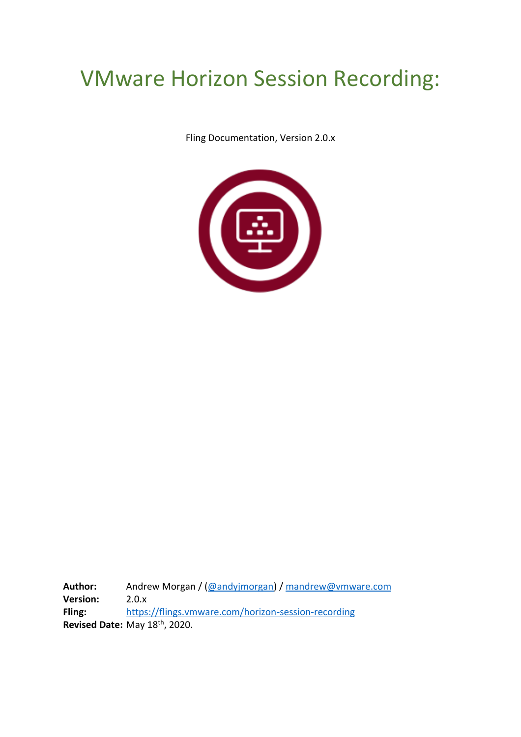# VMware Horizon Session Recording:

Fling Documentation, Version 2.0.x



Author: Andrew Morgan / [\(@andyjmorgan\)](https://twitter.com/andyjmorgan) / [mandrew@vmware.com](mailto:mandrew@vmware.com) **Version:** 2.0.x **Fling:** <https://flings.vmware.com/horizon-session-recording> **Revised Date:** May 18th, 2020.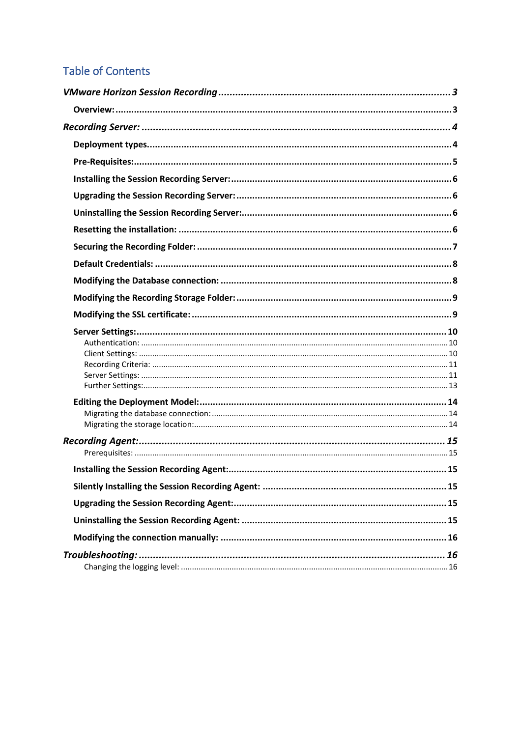## **Table of Contents**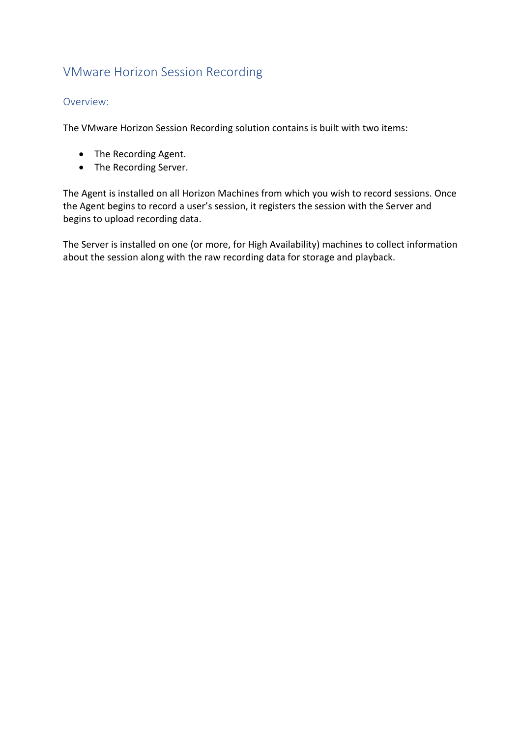# <span id="page-2-0"></span>VMware Horizon Session Recording

#### <span id="page-2-1"></span>Overview:

The VMware Horizon Session Recording solution contains is built with two items:

- The Recording Agent.
- The Recording Server.

The Agent is installed on all Horizon Machines from which you wish to record sessions. Once the Agent begins to record a user's session, it registers the session with the Server and begins to upload recording data.

The Server is installed on one (or more, for High Availability) machines to collect information about the session along with the raw recording data for storage and playback.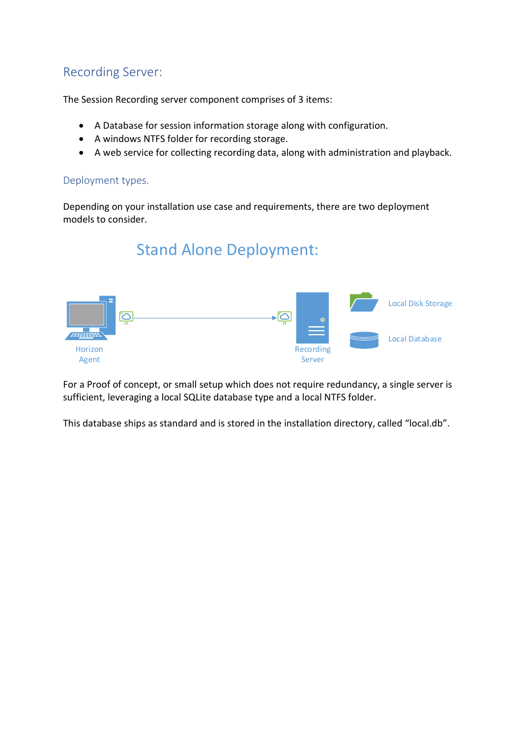### <span id="page-3-0"></span>Recording Server:

The Session Recording server component comprises of 3 items:

- A Database for session information storage along with configuration.
- A windows NTFS folder for recording storage.
- A web service for collecting recording data, along with administration and playback.

#### <span id="page-3-1"></span>Deployment types.

Depending on your installation use case and requirements, there are two deployment models to consider.

# Stand Alone Deployment:



For a Proof of concept, or small setup which does not require redundancy, a single server is sufficient, leveraging a local SQLite database type and a local NTFS folder.

This database ships as standard and is stored in the installation directory, called "local.db".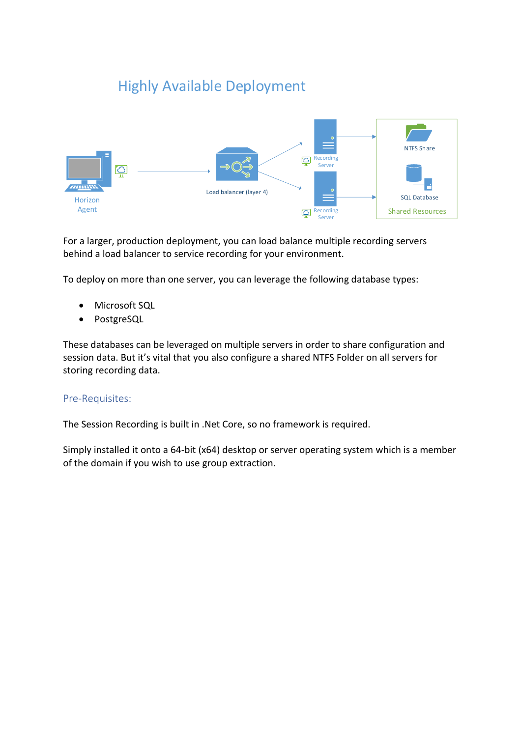# Highly Available Deployment



For a larger, production deployment, you can load balance multiple recording servers behind a load balancer to service recording for your environment.

To deploy on more than one server, you can leverage the following database types:

- Microsoft SQL
- PostgreSQL

These databases can be leveraged on multiple servers in order to share configuration and session data. But it's vital that you also configure a shared NTFS Folder on all servers for storing recording data.

#### <span id="page-4-0"></span>Pre-Requisites:

The Session Recording is built in .Net Core, so no framework is required.

Simply installed it onto a 64-bit (x64) desktop or server operating system which is a member of the domain if you wish to use group extraction.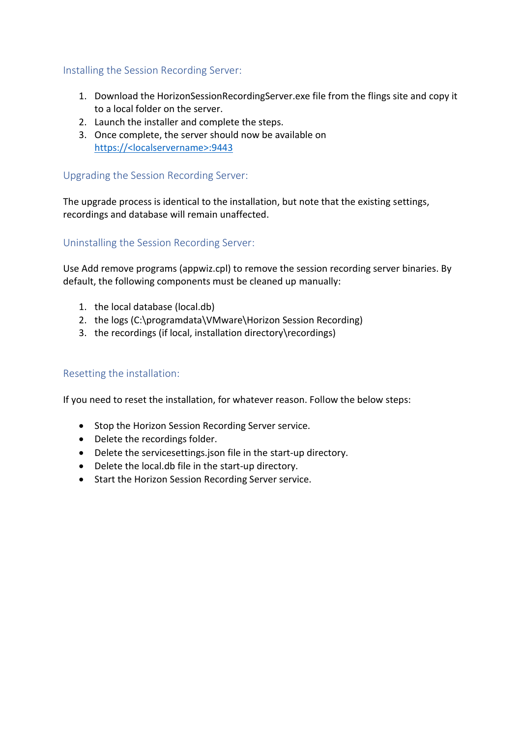#### <span id="page-5-0"></span>Installing the Session Recording Server:

- 1. Download the HorizonSessionRecordingServer.exe file from the flings site and copy it to a local folder on the server.
- 2. Launch the installer and complete the steps.
- 3. Once complete, the server should now be available on https://<localservername>:9443

#### <span id="page-5-1"></span>Upgrading the Session Recording Server:

The upgrade process is identical to the installation, but note that the existing settings, recordings and database will remain unaffected.

#### <span id="page-5-2"></span>Uninstalling the Session Recording Server:

Use Add remove programs (appwiz.cpl) to remove the session recording server binaries. By default, the following components must be cleaned up manually:

- 1. the local database (local.db)
- 2. the logs (C:\programdata\VMware\Horizon Session Recording)
- 3. the recordings (if local, installation directory\recordings)

#### <span id="page-5-3"></span>Resetting the installation:

If you need to reset the installation, for whatever reason. Follow the below steps:

- Stop the Horizon Session Recording Server service.
- Delete the recordings folder.
- Delete the servicesettings.json file in the start-up directory.
- Delete the local.db file in the start-up directory.
- Start the Horizon Session Recording Server service.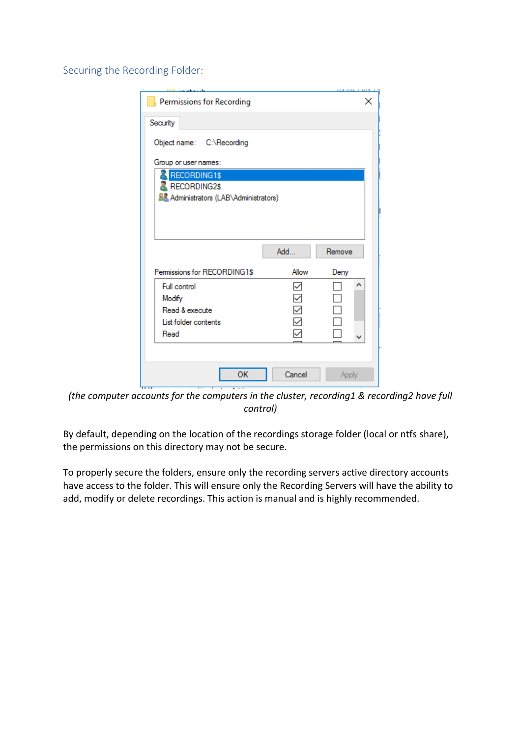<span id="page-6-0"></span>Securing the Recording Folder:

|                                               |                                           | A 77 M | <b>FILM</b> |
|-----------------------------------------------|-------------------------------------------|--------|-------------|
| Permissions for Recording                     |                                           |        | ×           |
| Security                                      |                                           |        |             |
| Object name: C:\Recording                     |                                           |        |             |
| Group or user names:                          |                                           |        |             |
| RECORDING1\$                                  |                                           |        |             |
| RECORDING2\$                                  |                                           |        |             |
| <b>SZ</b> Administrators (LAB\Administrators) |                                           |        |             |
|                                               |                                           |        |             |
|                                               |                                           |        |             |
|                                               |                                           |        |             |
|                                               |                                           |        |             |
|                                               | Add                                       | Remove |             |
| Permissions for RECORDING1\$                  | Allow                                     | Deny   |             |
| Full control                                  | $\checkmark$                              | ́      |             |
| Modify                                        |                                           |        |             |
| Read & execute                                |                                           |        |             |
| List folder contents                          |                                           |        |             |
| Read                                          | $\frac{1}{2}$ $\frac{1}{2}$ $\frac{1}{2}$ |        |             |
|                                               |                                           |        |             |
|                                               |                                           |        |             |

*(the computer accounts for the computers in the cluster, recording1 & recording2 have full control)*

By default, depending on the location of the recordings storage folder (local or ntfs share), the permissions on this directory may not be secure.

To properly secure the folders, ensure only the recording servers active directory accounts have access to the folder. This will ensure only the Recording Servers will have the ability to add, modify or delete recordings. This action is manual and is highly recommended.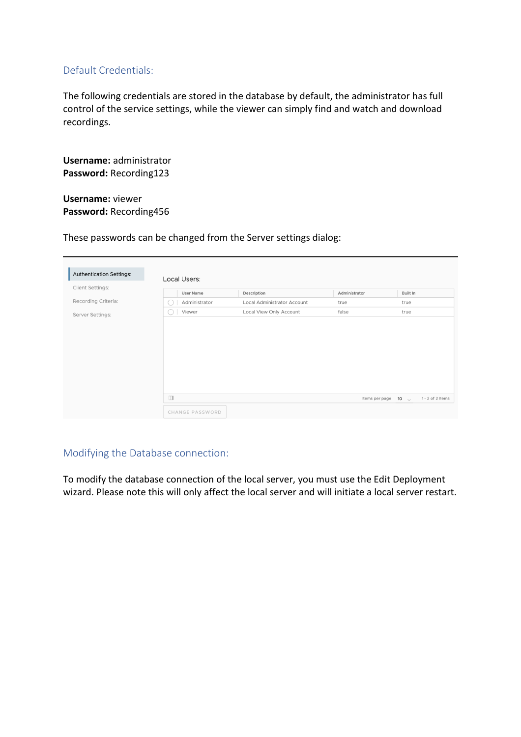#### <span id="page-7-0"></span>Default Credentials:

The following credentials are stored in the database by default, the administrator has full control of the service settings, while the viewer can simply find and watch and download recordings.

**Username:** administrator **Password:** Recording123

**Username:** viewer **Password:** Recording456

These passwords can be changed from the Server settings dialog:

| <b>Client Settings:</b> |                   |                             |               |          |
|-------------------------|-------------------|-----------------------------|---------------|----------|
|                         | User Name         | Description                 | Administrator | Built In |
| Recording Criteria:     | Administrator     | Local Administrator Account | true          | true     |
| Server Settings:        | Viewer<br>$( \ )$ | Local View Only Account     | false         | true     |
|                         |                   |                             |               |          |
|                         |                   |                             |               |          |
|                         |                   |                             |               |          |
|                         |                   |                             |               |          |
|                         |                   |                             |               |          |
|                         |                   |                             |               |          |
|                         |                   |                             |               |          |
|                         |                   |                             |               |          |

#### <span id="page-7-1"></span>Modifying the Database connection:

To modify the database connection of the local server, you must use the Edit Deployment wizard. Please note this will only affect the local server and will initiate a local server restart.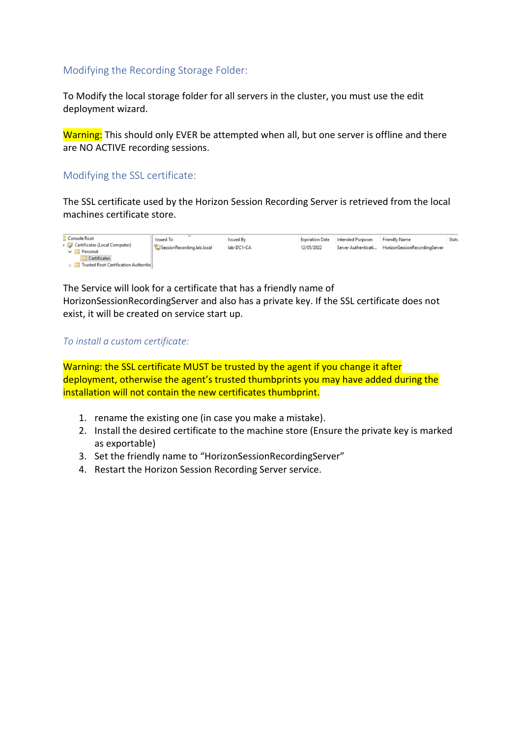#### <span id="page-8-0"></span>Modifying the Recording Storage Folder:

To Modify the local storage folder for all servers in the cluster, you must use the edit deployment wizard.

Warning: This should only EVER be attempted when all, but one server is offline and there are NO ACTIVE recording sessions.

#### <span id="page-8-1"></span>Modifying the SSL certificate:

The SSL certificate used by the Horizon Session Recording Server is retrieved from the local machines certificate store.



The Service will look for a certificate that has a friendly name of HorizonSessionRecordingServer and also has a private key. If the SSL certificate does not exist, it will be created on service start up.

*To install a custom certificate:* 

Warning: the SSL certificate MUST be trusted by the agent if you change it after deployment, otherwise the agent's trusted thumbprints you may have added during the installation will not contain the new certificates thumbprint.

- 1. rename the existing one (in case you make a mistake).
- 2. Install the desired certificate to the machine store (Ensure the private key is marked as exportable)
- 3. Set the friendly name to "HorizonSessionRecordingServer"
- 4. Restart the Horizon Session Recording Server service.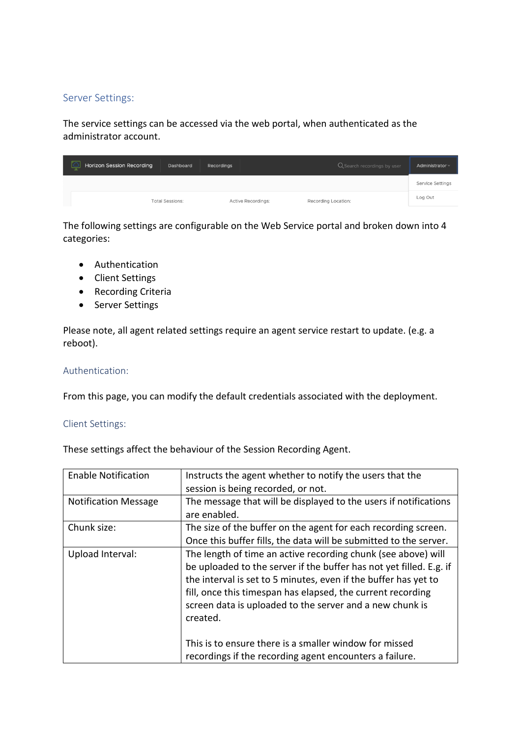#### <span id="page-9-0"></span>Server Settings:

The service settings can be accessed via the web portal, when authenticated as the administrator account.

| <b>Horizon Session Recording</b> | Dashboard              | Recordings |                           |                     | Q Search recordings by user | Administrator ~  |
|----------------------------------|------------------------|------------|---------------------------|---------------------|-----------------------------|------------------|
|                                  |                        |            |                           |                     |                             | Service Settings |
|                                  | <b>Total Sessions:</b> |            | <b>Active Recordings:</b> | Recording Location: |                             | Log Out          |

The following settings are configurable on the Web Service portal and broken down into 4 categories:

- Authentication
- Client Settings
- Recording Criteria
- Server Settings

Please note, all agent related settings require an agent service restart to update. (e.g. a reboot).

#### <span id="page-9-1"></span>Authentication:

From this page, you can modify the default credentials associated with the deployment.

#### <span id="page-9-2"></span>Client Settings:

These settings affect the behaviour of the Session Recording Agent.

| <b>Enable Notification</b>  | Instructs the agent whether to notify the users that the                                                                                                                                                                                                                                                                                       |
|-----------------------------|------------------------------------------------------------------------------------------------------------------------------------------------------------------------------------------------------------------------------------------------------------------------------------------------------------------------------------------------|
|                             | session is being recorded, or not.                                                                                                                                                                                                                                                                                                             |
| <b>Notification Message</b> | The message that will be displayed to the users if notifications                                                                                                                                                                                                                                                                               |
|                             | are enabled.                                                                                                                                                                                                                                                                                                                                   |
| Chunk size:                 | The size of the buffer on the agent for each recording screen.                                                                                                                                                                                                                                                                                 |
|                             | Once this buffer fills, the data will be submitted to the server.                                                                                                                                                                                                                                                                              |
| Upload Interval:            | The length of time an active recording chunk (see above) will<br>be uploaded to the server if the buffer has not yet filled. E.g. if<br>the interval is set to 5 minutes, even if the buffer has yet to<br>fill, once this timespan has elapsed, the current recording<br>screen data is uploaded to the server and a new chunk is<br>created. |
|                             | This is to ensure there is a smaller window for missed<br>recordings if the recording agent encounters a failure.                                                                                                                                                                                                                              |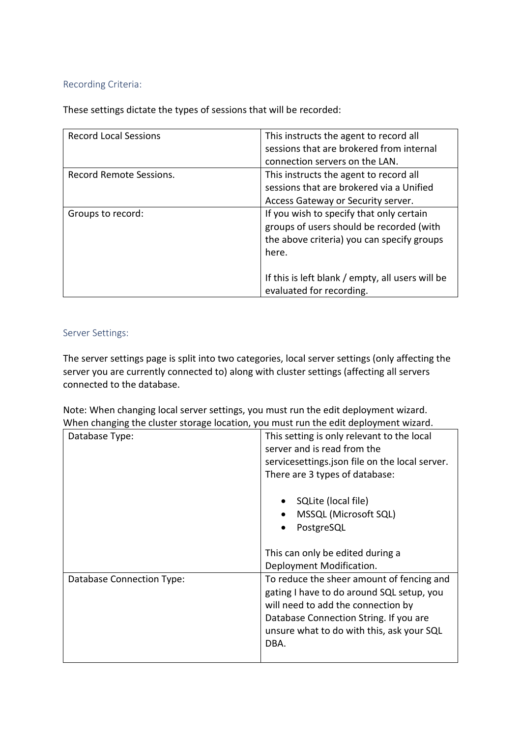#### <span id="page-10-0"></span>Recording Criteria:

These settings dictate the types of sessions that will be recorded:

| <b>Record Local Sessions</b> | This instructs the agent to record all           |
|------------------------------|--------------------------------------------------|
|                              | sessions that are brokered from internal         |
|                              | connection servers on the LAN.                   |
| Record Remote Sessions.      | This instructs the agent to record all           |
|                              | sessions that are brokered via a Unified         |
|                              | Access Gateway or Security server.               |
| Groups to record:            | If you wish to specify that only certain         |
|                              | groups of users should be recorded (with         |
|                              | the above criteria) you can specify groups       |
|                              | here.                                            |
|                              |                                                  |
|                              | If this is left blank / empty, all users will be |
|                              | evaluated for recording.                         |

#### <span id="page-10-1"></span>Server Settings:

The server settings page is split into two categories, local server settings (only affecting the server you are currently connected to) along with cluster settings (affecting all servers connected to the database.

Note: When changing local server settings, you must run the edit deployment wizard. When changing the cluster storage location, you must run the edit deployment wizard.

| Database Type:            | This setting is only relevant to the local<br>server and is read from the<br>servicesettings.json file on the local server.<br>There are 3 types of database:                                                               |
|---------------------------|-----------------------------------------------------------------------------------------------------------------------------------------------------------------------------------------------------------------------------|
|                           | SQLite (local file)<br>MSSQL (Microsoft SQL)<br>PostgreSQL                                                                                                                                                                  |
|                           | This can only be edited during a<br>Deployment Modification.                                                                                                                                                                |
| Database Connection Type: | To reduce the sheer amount of fencing and<br>gating I have to do around SQL setup, you<br>will need to add the connection by<br>Database Connection String. If you are<br>unsure what to do with this, ask your SQL<br>DBA. |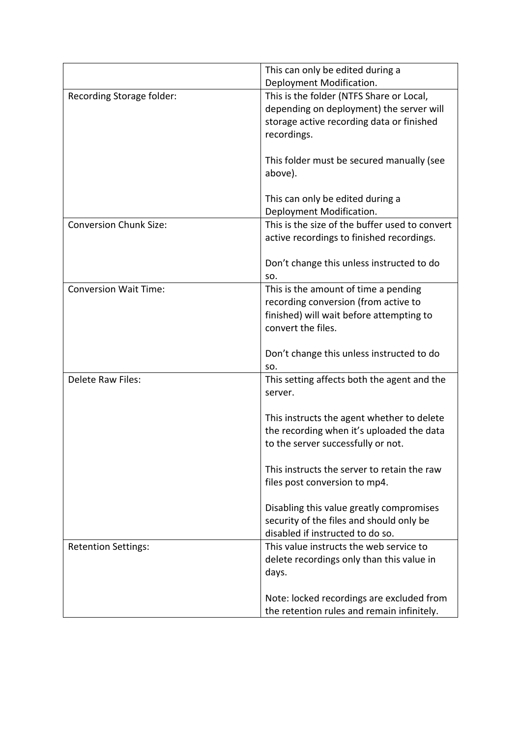|                               | This can only be edited during a                                                            |
|-------------------------------|---------------------------------------------------------------------------------------------|
|                               | Deployment Modification.                                                                    |
| Recording Storage folder:     | This is the folder (NTFS Share or Local,                                                    |
|                               | depending on deployment) the server will                                                    |
|                               | storage active recording data or finished                                                   |
|                               | recordings.                                                                                 |
|                               | This folder must be secured manually (see<br>above).                                        |
|                               | This can only be edited during a                                                            |
|                               | Deployment Modification.                                                                    |
| <b>Conversion Chunk Size:</b> | This is the size of the buffer used to convert<br>active recordings to finished recordings. |
|                               | Don't change this unless instructed to do<br>SO.                                            |
| <b>Conversion Wait Time:</b>  | This is the amount of time a pending                                                        |
|                               | recording conversion (from active to                                                        |
|                               | finished) will wait before attempting to                                                    |
|                               | convert the files.                                                                          |
|                               | Don't change this unless instructed to do<br>SO.                                            |
| Delete Raw Files:             | This setting affects both the agent and the<br>server.                                      |
|                               | This instructs the agent whether to delete                                                  |
|                               | the recording when it's uploaded the data                                                   |
|                               | to the server successfully or not.                                                          |
|                               | This instructs the server to retain the raw<br>files post conversion to mp4.                |
|                               | Disabling this value greatly compromises                                                    |
|                               | security of the files and should only be                                                    |
|                               | disabled if instructed to do so.                                                            |
| <b>Retention Settings:</b>    | This value instructs the web service to                                                     |
|                               | delete recordings only than this value in<br>days.                                          |
|                               | Note: locked recordings are excluded from                                                   |
|                               | the retention rules and remain infinitely.                                                  |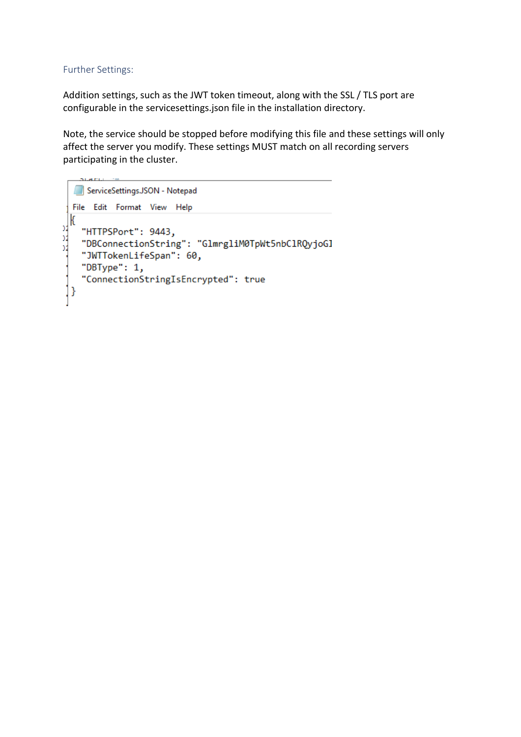#### <span id="page-12-0"></span>Further Settings:

Addition settings, such as the JWT token timeout, along with the SSL / TLS port are configurable in the servicesettings.json file in the installation directory.

Note, the service should be stopped before modifying this file and these settings will only affect the server you modify. These settings MUST match on all recording servers participating in the cluster.

```
Substitution.
   ServiceSettings.JSON - Notepad
  File Edit Format View Help
 k
\begin{array}{c} \n \text{or} \\ \n \text{or} \\ \n \text{or} \n \end{array}"HTTPSPort": 9443,
    "DBConnectionString": "GlmrgliM0TpWt5nbClRQyjoGl
     "JWTTokenLifeSpan": 60,
     "DBType": 1,
     "ConnectionStringIsEncrypted": true
 J}
```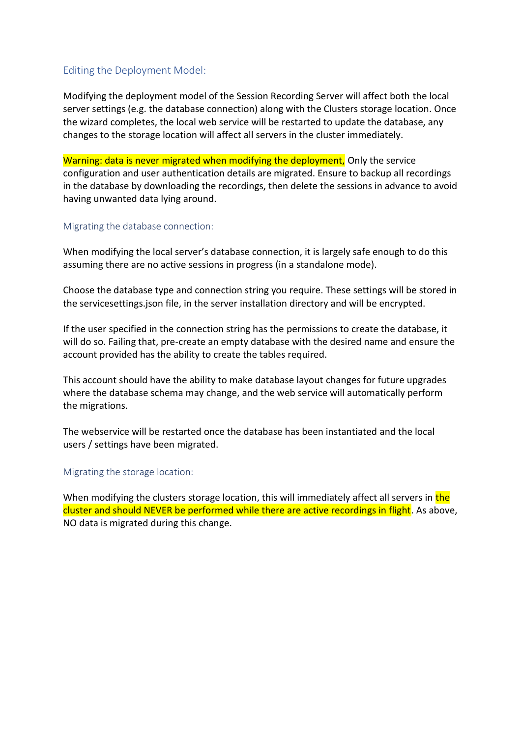#### <span id="page-13-0"></span>Editing the Deployment Model:

Modifying the deployment model of the Session Recording Server will affect both the local server settings (e.g. the database connection) along with the Clusters storage location. Once the wizard completes, the local web service will be restarted to update the database, any changes to the storage location will affect all servers in the cluster immediately.

Warning: data is never migrated when modifying the deployment, Only the service configuration and user authentication details are migrated. Ensure to backup all recordings in the database by downloading the recordings, then delete the sessions in advance to avoid having unwanted data lying around.

#### <span id="page-13-1"></span>Migrating the database connection:

When modifying the local server's database connection, it is largely safe enough to do this assuming there are no active sessions in progress (in a standalone mode).

Choose the database type and connection string you require. These settings will be stored in the servicesettings.json file, in the server installation directory and will be encrypted.

If the user specified in the connection string has the permissions to create the database, it will do so. Failing that, pre-create an empty database with the desired name and ensure the account provided has the ability to create the tables required.

This account should have the ability to make database layout changes for future upgrades where the database schema may change, and the web service will automatically perform the migrations.

The webservice will be restarted once the database has been instantiated and the local users / settings have been migrated.

#### <span id="page-13-2"></span>Migrating the storage location:

When modifying the clusters storage location, this will immediately affect all servers in the cluster and should NEVER be performed while there are active recordings in flight. As above, NO data is migrated during this change.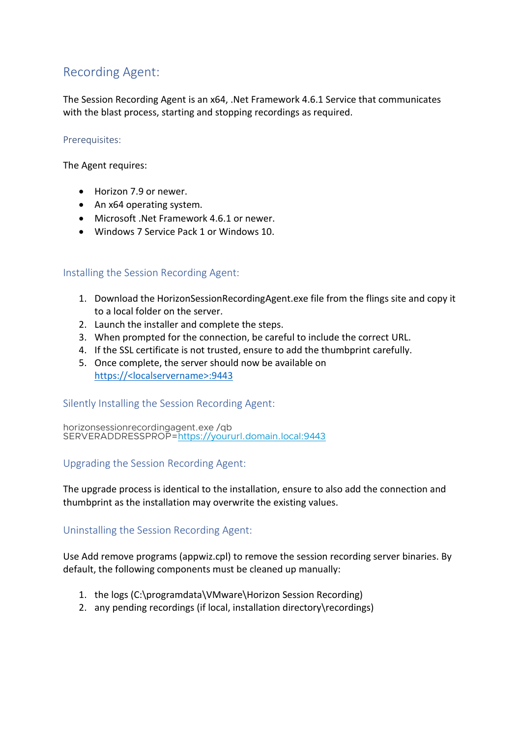### <span id="page-14-0"></span>Recording Agent:

The Session Recording Agent is an x64, .Net Framework 4.6.1 Service that communicates with the blast process, starting and stopping recordings as required.

#### <span id="page-14-1"></span>Prerequisites:

The Agent requires:

- Horizon 7.9 or newer.
- An x64 operating system.
- Microsoft .Net Framework 4.6.1 or newer.
- Windows 7 Service Pack 1 or Windows 10.

#### <span id="page-14-2"></span>Installing the Session Recording Agent:

- 1. Download the HorizonSessionRecordingAgent.exe file from the flings site and copy it to a local folder on the server.
- 2. Launch the installer and complete the steps.
- 3. When prompted for the connection, be careful to include the correct URL.
- 4. If the SSL certificate is not trusted, ensure to add the thumbprint carefully.
- 5. Once complete, the server should now be available on https://<localservername>:9443

#### <span id="page-14-3"></span>Silently Installing the Session Recording Agent:

horizonsessionrecordingagent.exe /qb SERVERADDRESSPROP[=https://yoururl.domain.local:9443](https://yoururl.domain.local:9443/)

#### <span id="page-14-4"></span>Upgrading the Session Recording Agent:

The upgrade process is identical to the installation, ensure to also add the connection and thumbprint as the installation may overwrite the existing values.

#### <span id="page-14-5"></span>Uninstalling the Session Recording Agent:

Use Add remove programs (appwiz.cpl) to remove the session recording server binaries. By default, the following components must be cleaned up manually:

- 1. the logs (C:\programdata\VMware\Horizon Session Recording)
- 2. any pending recordings (if local, installation directory\recordings)